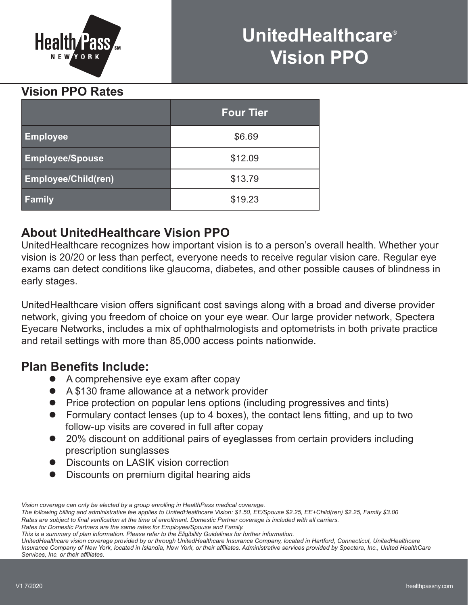

# **UnitedHealthcare**® **Vision PPO**

# **Vision PPO Rates**

|                            | <b>Four Tier</b> |
|----------------------------|------------------|
| <b>Employee</b>            | \$6.69           |
| <b>Employee/Spouse</b>     | \$12.09          |
| <b>Employee/Child(ren)</b> | \$13.79          |
| <b>Family</b>              | \$19.23          |

# **About UnitedHealthcare Vision PPO**

UnitedHealthcare recognizes how important vision is to a person's overall health. Whether your vision is 20/20 or less than perfect, everyone needs to receive regular vision care. Regular eye exams can detect conditions like glaucoma, diabetes, and other possible causes of blindness in early stages.

UnitedHealthcare vision offers significant cost savings along with a broad and diverse provider network, giving you freedom of choice on your eye wear. Our large provider network, Spectera Eyecare Networks, includes a mix of ophthalmologists and optometrists in both private practice and retail settings with more than 85,000 access points nationwide.

# **Plan Benefits Include:**

- A comprehensive eye exam after copay
- A \$130 frame allowance at a network provider
- Price protection on popular lens options (including progressives and tints)
- $\bullet$  Formulary contact lenses (up to 4 boxes), the contact lens fitting, and up to two follow-up visits are covered in full after copay
- 20% discount on additional pairs of eyeglasses from certain providers including prescription sunglasses
- **•** Discounts on LASIK vision correction
- Discounts on premium digital hearing aids

*Rates for Domestic Partners are the same rates for Employee/Spouse and Family.*

*UnitedHealthcare vision coverage provided by or through UnitedHealthcare Insurance Company, located in Hartford, Connecticut, UnitedHealthcare Insurance Company of New York, located in Islandia, New York, or their affi liates. Administrative services provided by Spectera, Inc., United HealthCare*   $S$ *ervices, Inc. or their affiliates.* 

*Vision coverage can only be elected by a group enrolling in HealthPass medical coverage.*

*The following billing and administrative fee applies to UnitedHealthcare Vision: \$1.50, EE/Spouse \$2.25, EE+Child(ren) \$2.25, Family \$3.00* Rates are subject to final verification at the time of enrollment. Domestic Partner coverage is included with all carriers.

*This is a summary of plan information. Please refer to the Eligibility Guidelines for further information.*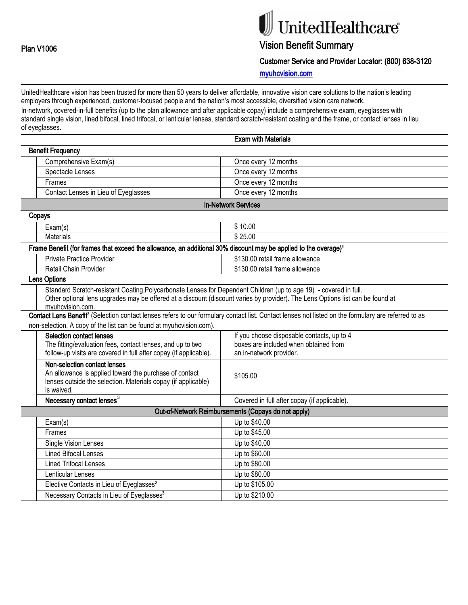# UnitedHealthcare®

# Vision Benefit Summary

Customer Service and Provider Locator: (800) 638-3120

myuhcvision.com

UnitedHealthcare vision has been trusted for more than 50 years to deliver affordable, innovative vision care solutions to the nation's leading employers through experienced, customer-focused people and the nation's most accessible, diversified vision care network. In-network, covered-in-full benefits (up to the plan allowance and after applicable copay) include a comprehensive exam, eyeglasses with standard single vision, lined bifocal, lined trifocal, or lenticular lenses, standard scratch-resistant coating and the frame, or contact lenses in lieu of eyeglasses.

|                                                                                                                                                                                                              | <b>Exam with Materials</b>                                                                                                                                                                                                                                                                        |
|--------------------------------------------------------------------------------------------------------------------------------------------------------------------------------------------------------------|---------------------------------------------------------------------------------------------------------------------------------------------------------------------------------------------------------------------------------------------------------------------------------------------------|
| <b>Benefit Frequency</b>                                                                                                                                                                                     |                                                                                                                                                                                                                                                                                                   |
| Comprehensive Exam(s)                                                                                                                                                                                        | Once every 12 months                                                                                                                                                                                                                                                                              |
| Spectacle Lenses                                                                                                                                                                                             | Once every 12 months                                                                                                                                                                                                                                                                              |
| Frames                                                                                                                                                                                                       | Once every 12 months                                                                                                                                                                                                                                                                              |
| Contact Lenses in Lieu of Eyeglasses                                                                                                                                                                         | Once every 12 months                                                                                                                                                                                                                                                                              |
| <b>In-Network Services</b>                                                                                                                                                                                   |                                                                                                                                                                                                                                                                                                   |
| Copays                                                                                                                                                                                                       |                                                                                                                                                                                                                                                                                                   |
| Exam(s)                                                                                                                                                                                                      | \$10.00                                                                                                                                                                                                                                                                                           |
| <b>Materials</b>                                                                                                                                                                                             | \$25.00                                                                                                                                                                                                                                                                                           |
| Frame Benefit (for frames that exceed the allowance, an additional 30% discount may be applied to the overage) <sup>1</sup>                                                                                  |                                                                                                                                                                                                                                                                                                   |
| <b>Private Practice Provider</b>                                                                                                                                                                             | \$130.00 retail frame allowance                                                                                                                                                                                                                                                                   |
| Retail Chain Provider                                                                                                                                                                                        | \$130.00 retail frame allowance                                                                                                                                                                                                                                                                   |
| <b>Lens Options</b>                                                                                                                                                                                          |                                                                                                                                                                                                                                                                                                   |
| Standard Scratch-resistant Coating, Polycarbonate Lenses for Dependent Children (up to age 19) - covered in full.<br>myuhcvision.com.<br>non-selection. A copy of the list can be found at myuhcvision.com). | Other optional lens upgrades may be offered at a discount (discount varies by provider). The Lens Options list can be found at<br>Contact Lens Benefit <sup>2</sup> (Selection contact lenses refers to our formulary contact list. Contact lenses not listed on the formulary are referred to as |
| <b>Selection contact lenses</b>                                                                                                                                                                              | If you choose disposable contacts, up to 4                                                                                                                                                                                                                                                        |
| The fitting/evaluation fees, contact lenses, and up to two                                                                                                                                                   | boxes are included when obtained from                                                                                                                                                                                                                                                             |
| follow-up visits are covered in full after copay (if applicable).                                                                                                                                            | an in-network provider.                                                                                                                                                                                                                                                                           |
| Non-selection contact lenses<br>An allowance is applied toward the purchase of contact<br>lenses outside the selection. Materials copay (if applicable)<br>is waived.                                        | \$105.00                                                                                                                                                                                                                                                                                          |
| Necessary contact lenses <sup>3</sup>                                                                                                                                                                        | Covered in full after copay (if applicable).                                                                                                                                                                                                                                                      |
| Out-of-Network Reimbursements (Copays do not apply)                                                                                                                                                          |                                                                                                                                                                                                                                                                                                   |
| Exam(s)                                                                                                                                                                                                      | Up to \$40.00                                                                                                                                                                                                                                                                                     |
| Frames                                                                                                                                                                                                       | Up to \$45.00                                                                                                                                                                                                                                                                                     |
| <b>Single Vision Lenses</b>                                                                                                                                                                                  | Up to \$40.00                                                                                                                                                                                                                                                                                     |
| <b>Lined Bifocal Lenses</b>                                                                                                                                                                                  | Up to \$60.00                                                                                                                                                                                                                                                                                     |
| <b>Lined Trifocal Lenses</b>                                                                                                                                                                                 | Up to \$80.00                                                                                                                                                                                                                                                                                     |
| Lenticular Lenses                                                                                                                                                                                            | Up to \$80.00                                                                                                                                                                                                                                                                                     |
| Elective Contacts in Lieu of Eyeglasses <sup>2</sup>                                                                                                                                                         | Up to \$105.00                                                                                                                                                                                                                                                                                    |
| Necessary Contacts in Lieu of Eyeglasses <sup>3</sup>                                                                                                                                                        | Up to \$210.00                                                                                                                                                                                                                                                                                    |